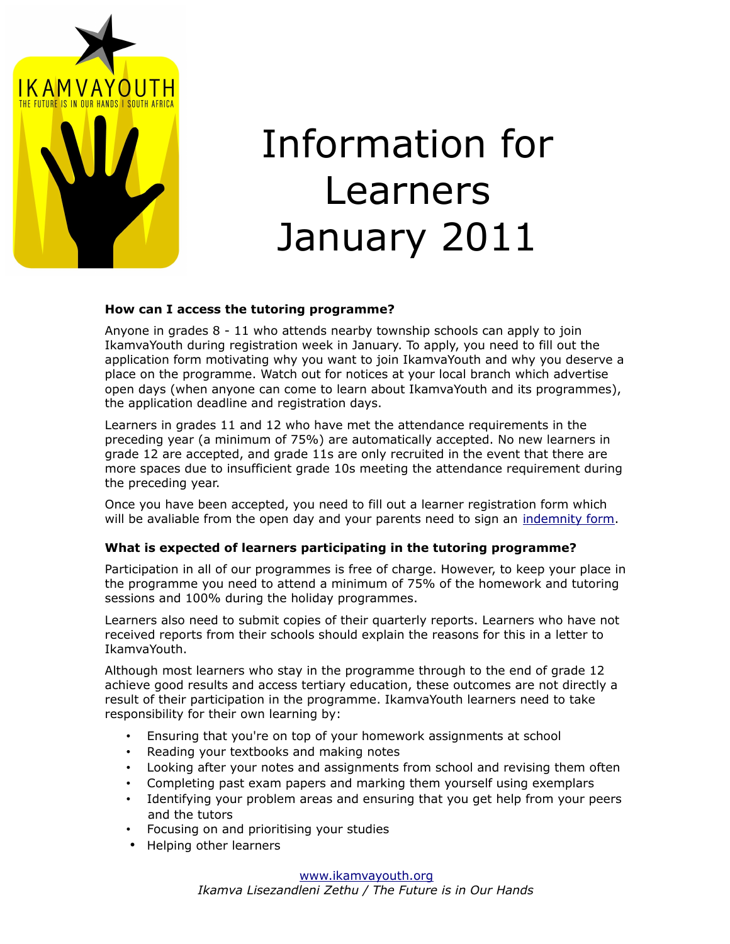

# Information for Learners January 2011

#### **How can I access the tutoring programme?**

Anyone in grades 8 - 11 who attends nearby township schools can apply to join IkamvaYouth during registration week in January. To apply, you need to fill out the application form motivating why you want to join IkamvaYouth and why you deserve a place on the programme. Watch out for notices at your local branch which advertise open days (when anyone can come to learn about IkamvaYouth and its programmes), the application deadline and registration days.

Learners in grades 11 and 12 who have met the attendance requirements in the preceding year (a minimum of 75%) are automatically accepted. No new learners in grade 12 are accepted, and grade 11s are only recruited in the event that there are more spaces due to insufficient grade 10s meeting the attendance requirement during the preceding year.

Once you have been accepted, you need to fill out a learner registration form which will be avaliable from the open day and your parents need to sign an [indemnity form.](http://ikamvayouth.org/sites/default/files/IndemnityForm.pdf)

#### **What is expected of learners participating in the tutoring programme?**

Participation in all of our programmes is free of charge. However, to keep your place in the programme you need to attend a minimum of 75% of the homework and tutoring sessions and 100% during the holiday programmes.

Learners also need to submit copies of their quarterly reports. Learners who have not received reports from their schools should explain the reasons for this in a letter to IkamvaYouth.

Although most learners who stay in the programme through to the end of grade 12 achieve good results and access tertiary education, these outcomes are not directly a result of their participation in the programme. IkamvaYouth learners need to take responsibility for their own learning by:

- Ensuring that you're on top of your homework assignments at school
- Reading your textbooks and making notes
- Looking after your notes and assignments from school and revising them often
- Completing past exam papers and marking them yourself using exemplars
- Identifying your problem areas and ensuring that you get help from your peers and the tutors
- Focusing on and prioritising your studies
- Helping other learners